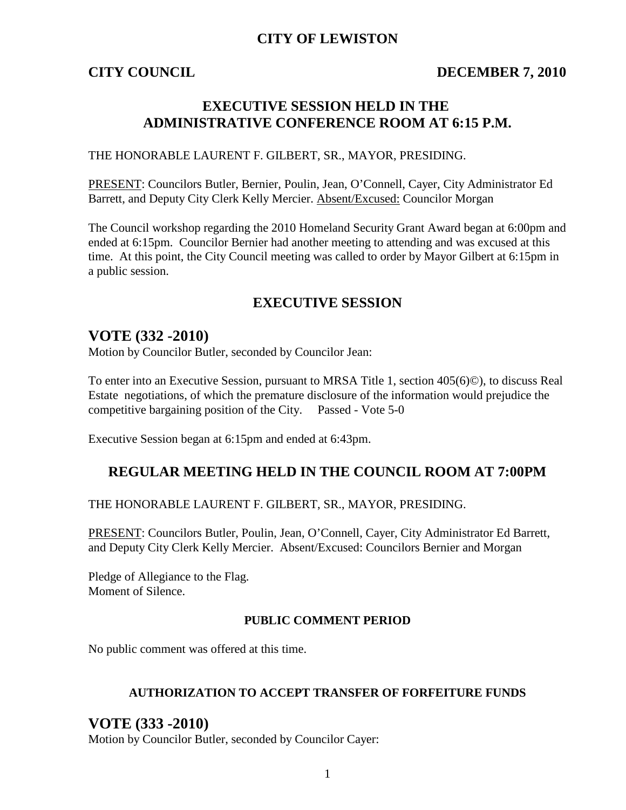# **CITY OF LEWISTON**

## **CITY COUNCIL DECEMBER 7, 2010**

# **EXECUTIVE SESSION HELD IN THE ADMINISTRATIVE CONFERENCE ROOM AT 6:15 P.M.**

THE HONORABLE LAURENT F. GILBERT, SR., MAYOR, PRESIDING.

PRESENT: Councilors Butler, Bernier, Poulin, Jean, O'Connell, Cayer, City Administrator Ed Barrett, and Deputy City Clerk Kelly Mercier. Absent/Excused: Councilor Morgan

The Council workshop regarding the 2010 Homeland Security Grant Award began at 6:00pm and ended at 6:15pm. Councilor Bernier had another meeting to attending and was excused at this time. At this point, the City Council meeting was called to order by Mayor Gilbert at 6:15pm in a public session.

# **EXECUTIVE SESSION**

## **VOTE (332 -2010)**

Motion by Councilor Butler, seconded by Councilor Jean:

To enter into an Executive Session, pursuant to MRSA Title 1, section 405(6)©), to discuss Real Estate negotiations, of which the premature disclosure of the information would prejudice the competitive bargaining position of the City. Passed - Vote 5-0

Executive Session began at 6:15pm and ended at 6:43pm.

## **REGULAR MEETING HELD IN THE COUNCIL ROOM AT 7:00PM**

THE HONORABLE LAURENT F. GILBERT, SR., MAYOR, PRESIDING.

PRESENT: Councilors Butler, Poulin, Jean, O'Connell, Cayer, City Administrator Ed Barrett, and Deputy City Clerk Kelly Mercier. Absent/Excused: Councilors Bernier and Morgan

Pledge of Allegiance to the Flag. Moment of Silence.

### **PUBLIC COMMENT PERIOD**

No public comment was offered at this time.

### **AUTHORIZATION TO ACCEPT TRANSFER OF FORFEITURE FUNDS**

## **VOTE (333 -2010)**

Motion by Councilor Butler, seconded by Councilor Cayer: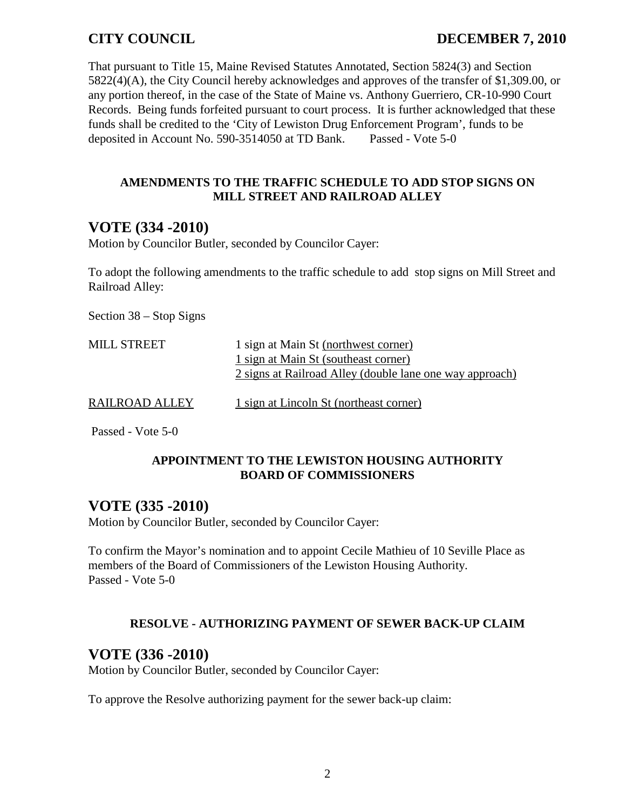# **CITY COUNCIL** DECEMBER 7, 2010

That pursuant to Title 15, Maine Revised Statutes Annotated, Section 5824(3) and Section 5822(4)(A), the City Council hereby acknowledges and approves of the transfer of \$1,309.00, or any portion thereof, in the case of the State of Maine vs. Anthony Guerriero, CR-10-990 Court Records. Being funds forfeited pursuant to court process. It is further acknowledged that these funds shall be credited to the 'City of Lewiston Drug Enforcement Program', funds to be deposited in Account No. 590-3514050 at TD Bank. Passed - Vote 5-0

### **AMENDMENTS TO THE TRAFFIC SCHEDULE TO ADD STOP SIGNS ON MILL STREET AND RAILROAD ALLEY**

# **VOTE (334 -2010)**

Motion by Councilor Butler, seconded by Councilor Cayer:

To adopt the following amendments to the traffic schedule to add stop signs on Mill Street and Railroad Alley:

Section 38 – Stop Signs

| 1 sign at Main St (northwest corner)                     |
|----------------------------------------------------------|
| 1 sign at Main St (southeast corner)                     |
| 2 signs at Railroad Alley (double lane one way approach) |
|                                                          |
| 1 sign at Lincoln St (northeast corner)                  |
|                                                          |

Passed - Vote 5-0

### **APPOINTMENT TO THE LEWISTON HOUSING AUTHORITY BOARD OF COMMISSIONERS**

# **VOTE (335 -2010)**

Motion by Councilor Butler, seconded by Councilor Cayer:

To confirm the Mayor's nomination and to appoint Cecile Mathieu of 10 Seville Place as members of the Board of Commissioners of the Lewiston Housing Authority. Passed - Vote 5-0

### **RESOLVE - AUTHORIZING PAYMENT OF SEWER BACK-UP CLAIM**

## **VOTE (336 -2010)**

Motion by Councilor Butler, seconded by Councilor Cayer:

To approve the Resolve authorizing payment for the sewer back-up claim: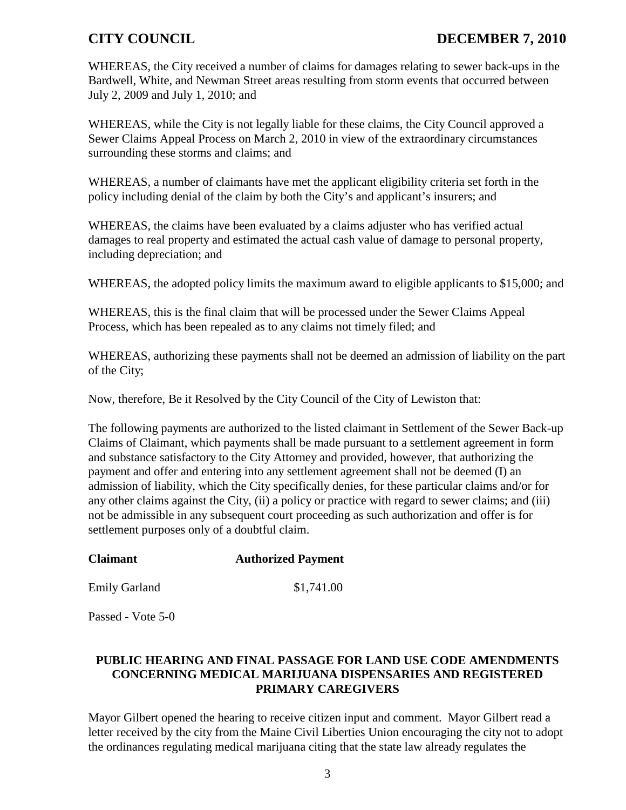WHEREAS, the City received a number of claims for damages relating to sewer back-ups in the Bardwell, White, and Newman Street areas resulting from storm events that occurred between July 2, 2009 and July 1, 2010; and

WHEREAS, while the City is not legally liable for these claims, the City Council approved a Sewer Claims Appeal Process on March 2, 2010 in view of the extraordinary circumstances surrounding these storms and claims; and

WHEREAS, a number of claimants have met the applicant eligibility criteria set forth in the policy including denial of the claim by both the City's and applicant's insurers; and

WHEREAS, the claims have been evaluated by a claims adjuster who has verified actual damages to real property and estimated the actual cash value of damage to personal property, including depreciation; and

WHEREAS, the adopted policy limits the maximum award to eligible applicants to \$15,000; and

WHEREAS, this is the final claim that will be processed under the Sewer Claims Appeal Process, which has been repealed as to any claims not timely filed; and

WHEREAS, authorizing these payments shall not be deemed an admission of liability on the part of the City;

Now, therefore, Be it Resolved by the City Council of the City of Lewiston that:

The following payments are authorized to the listed claimant in Settlement of the Sewer Back-up Claims of Claimant, which payments shall be made pursuant to a settlement agreement in form and substance satisfactory to the City Attorney and provided, however, that authorizing the payment and offer and entering into any settlement agreement shall not be deemed (I) an admission of liability, which the City specifically denies, for these particular claims and/or for any other claims against the City, (ii) a policy or practice with regard to sewer claims; and (iii) not be admissible in any subsequent court proceeding as such authorization and offer is for settlement purposes only of a doubtful claim.

| <b>Claimant</b>      | <b>Authorized Payment</b> |
|----------------------|---------------------------|
| <b>Emily Garland</b> | \$1,741.00                |

Passed - Vote 5-0

### **PUBLIC HEARING AND FINAL PASSAGE FOR LAND USE CODE AMENDMENTS CONCERNING MEDICAL MARIJUANA DISPENSARIES AND REGISTERED PRIMARY CAREGIVERS**

Mayor Gilbert opened the hearing to receive citizen input and comment. Mayor Gilbert read a letter received by the city from the Maine Civil Liberties Union encouraging the city not to adopt the ordinances regulating medical marijuana citing that the state law already regulates the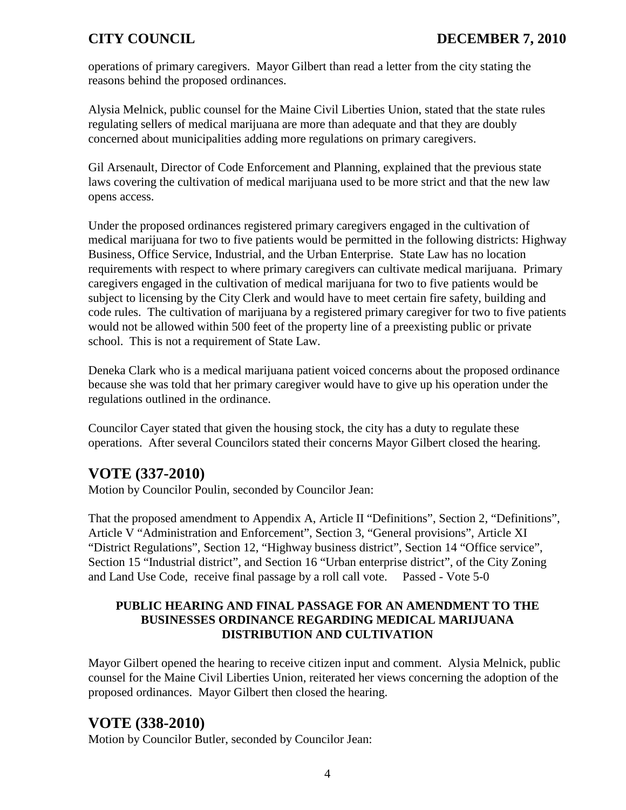operations of primary caregivers. Mayor Gilbert than read a letter from the city stating the reasons behind the proposed ordinances.

Alysia Melnick, public counsel for the Maine Civil Liberties Union, stated that the state rules regulating sellers of medical marijuana are more than adequate and that they are doubly concerned about municipalities adding more regulations on primary caregivers.

Gil Arsenault, Director of Code Enforcement and Planning, explained that the previous state laws covering the cultivation of medical marijuana used to be more strict and that the new law opens access.

Under the proposed ordinances registered primary caregivers engaged in the cultivation of medical marijuana for two to five patients would be permitted in the following districts: Highway Business, Office Service, Industrial, and the Urban Enterprise. State Law has no location requirements with respect to where primary caregivers can cultivate medical marijuana. Primary caregivers engaged in the cultivation of medical marijuana for two to five patients would be subject to licensing by the City Clerk and would have to meet certain fire safety, building and code rules. The cultivation of marijuana by a registered primary caregiver for two to five patients would not be allowed within 500 feet of the property line of a preexisting public or private school. This is not a requirement of State Law.

Deneka Clark who is a medical marijuana patient voiced concerns about the proposed ordinance because she was told that her primary caregiver would have to give up his operation under the regulations outlined in the ordinance.

Councilor Cayer stated that given the housing stock, the city has a duty to regulate these operations. After several Councilors stated their concerns Mayor Gilbert closed the hearing.

# **VOTE (337-2010)**

Motion by Councilor Poulin, seconded by Councilor Jean:

That the proposed amendment to Appendix A, Article II "Definitions", Section 2, "Definitions", Article V "Administration and Enforcement", Section 3, "General provisions", Article XI "District Regulations", Section 12, "Highway business district", Section 14 "Office service", Section 15 "Industrial district", and Section 16 "Urban enterprise district", of the City Zoning and Land Use Code, receive final passage by a roll call vote. Passed - Vote 5-0

### **PUBLIC HEARING AND FINAL PASSAGE FOR AN AMENDMENT TO THE BUSINESSES ORDINANCE REGARDING MEDICAL MARIJUANA DISTRIBUTION AND CULTIVATION**

Mayor Gilbert opened the hearing to receive citizen input and comment. Alysia Melnick, public counsel for the Maine Civil Liberties Union, reiterated her views concerning the adoption of the proposed ordinances. Mayor Gilbert then closed the hearing.

# **VOTE (338-2010)**

Motion by Councilor Butler, seconded by Councilor Jean: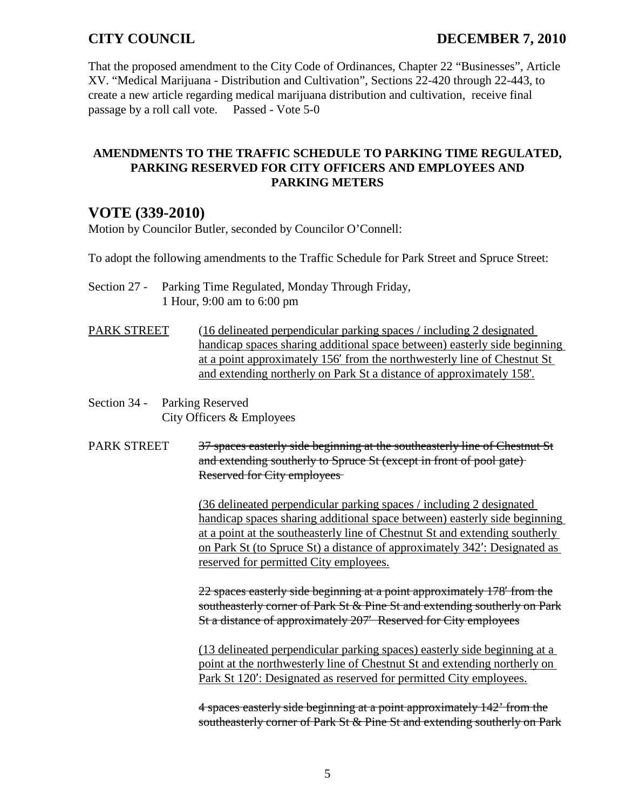That the proposed amendment to the City Code of Ordinances, Chapter 22 "Businesses", Article XV. "Medical Marijuana - Distribution and Cultivation", Sections 22-420 through 22-443, to create a new article regarding medical marijuana distribution and cultivation, receive final passage by a roll call vote. Passed - Vote 5-0

### **AMENDMENTS TO THE TRAFFIC SCHEDULE TO PARKING TIME REGULATED, PARKING RESERVED FOR CITY OFFICERS AND EMPLOYEES AND PARKING METERS**

# **VOTE (339-2010)**

Motion by Councilor Butler, seconded by Councilor O'Connell:

To adopt the following amendments to the Traffic Schedule for Park Street and Spruce Street:

- Section 27 Parking Time Regulated, Monday Through Friday, 1 Hour, 9:00 am to 6:00 pm
- PARK STREET (16 delineated perpendicular parking spaces / including 2 designated handicap spaces sharing additional space between) easterly side beginning at a point approximately 156' from the northwesterly line of Chestnut St and extending northerly on Park St a distance of approximately 158'.
- Section 34 Parking Reserved City Officers & Employees

### PARK STREET 37 spaces easterly side beginning at the southeasterly line of Chestnut St and extending southerly to Spruce St (except in front of pool gate) Reserved for City employees

(36 delineated perpendicular parking spaces / including 2 designated handicap spaces sharing additional space between) easterly side beginning at a point at the southeasterly line of Chestnut St and extending southerly on Park St (to Spruce St) a distance of approximately 342': Designated as reserved for permitted City employees.

22 spaces easterly side beginning at a point approximately 178' from the southeasterly corner of Park St & Pine St and extending southerly on Park St a distance of approximately 207' Reserved for City employees

(13 delineated perpendicular parking spaces) easterly side beginning at a point at the northwesterly line of Chestnut St and extending northerly on Park St 120': Designated as reserved for permitted City employees.

4 spaces easterly side beginning at a point approximately 142' from the southeasterly corner of Park St & Pine St and extending southerly on Park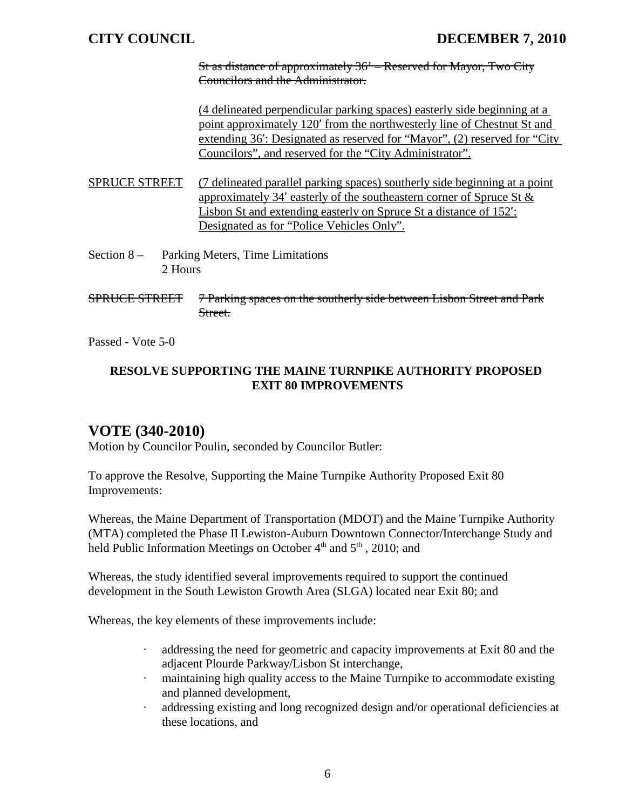St as distance of approximately 36' – Reserved for Mayor, Two City Councilors and the Administrator.

(4 delineated perpendicular parking spaces) easterly side beginning at a point approximately 120' from the northwesterly line of Chestnut St and extending 36': Designated as reserved for "Mayor", (2) reserved for "City Councilors", and reserved for the "City Administrator".

SPRUCE STREET (7 delineated parallel parking spaces) southerly side beginning at a point approximately 34' easterly of the southeastern corner of Spruce St & Lisbon St and extending easterly on Spruce St a distance of 152': Designated as for "Police Vehicles Only".

- Section 8 Parking Meters, Time Limitations 2 Hours
- SPRUCE STREET 7 Parking spaces on the southerly side between Lisbon Street and Park Street.

Passed - Vote 5-0

## **RESOLVE SUPPORTING THE MAINE TURNPIKE AUTHORITY PROPOSED EXIT 80 IMPROVEMENTS**

# **VOTE (340-2010)**

Motion by Councilor Poulin, seconded by Councilor Butler:

To approve the Resolve, Supporting the Maine Turnpike Authority Proposed Exit 80 Improvements:

Whereas, the Maine Department of Transportation (MDOT) and the Maine Turnpike Authority (MTA) completed the Phase II Lewiston-Auburn Downtown Connector/Interchange Study and held Public Information Meetings on October  $4<sup>th</sup>$  and  $5<sup>th</sup>$ , 2010; and

Whereas, the study identified several improvements required to support the continued development in the South Lewiston Growth Area (SLGA) located near Exit 80; and

Whereas, the key elements of these improvements include:

- · addressing the need for geometric and capacity improvements at Exit 80 and the adjacent Plourde Parkway/Lisbon St interchange,
- maintaining high quality access to the Maine Turnpike to accommodate existing and planned development,
- · addressing existing and long recognized design and/or operational deficiencies at these locations, and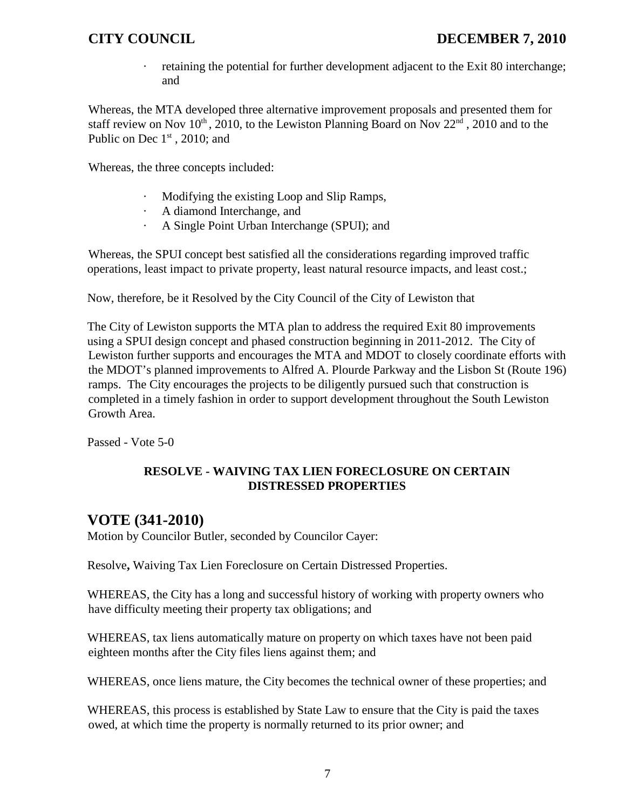· retaining the potential for further development adjacent to the Exit 80 interchange; and

Whereas, the MTA developed three alternative improvement proposals and presented them for staff review on Nov  $10^{th}$ , 2010, to the Lewiston Planning Board on Nov  $22^{nd}$ , 2010 and to the Public on Dec  $1<sup>st</sup>$ , 2010; and

Whereas, the three concepts included:

- · Modifying the existing Loop and Slip Ramps,
- · A diamond Interchange, and
- · A Single Point Urban Interchange (SPUI); and

Whereas, the SPUI concept best satisfied all the considerations regarding improved traffic operations, least impact to private property, least natural resource impacts, and least cost.;

Now, therefore, be it Resolved by the City Council of the City of Lewiston that

The City of Lewiston supports the MTA plan to address the required Exit 80 improvements using a SPUI design concept and phased construction beginning in 2011-2012. The City of Lewiston further supports and encourages the MTA and MDOT to closely coordinate efforts with the MDOT's planned improvements to Alfred A. Plourde Parkway and the Lisbon St (Route 196) ramps. The City encourages the projects to be diligently pursued such that construction is completed in a timely fashion in order to support development throughout the South Lewiston Growth Area.

Passed - Vote 5-0

### **RESOLVE - WAIVING TAX LIEN FORECLOSURE ON CERTAIN DISTRESSED PROPERTIES**

# **VOTE (341-2010)**

Motion by Councilor Butler, seconded by Councilor Cayer:

Resolve**,** Waiving Tax Lien Foreclosure on Certain Distressed Properties.

WHEREAS, the City has a long and successful history of working with property owners who have difficulty meeting their property tax obligations; and

WHEREAS, tax liens automatically mature on property on which taxes have not been paid eighteen months after the City files liens against them; and

WHEREAS, once liens mature, the City becomes the technical owner of these properties; and

WHEREAS, this process is established by State Law to ensure that the City is paid the taxes owed, at which time the property is normally returned to its prior owner; and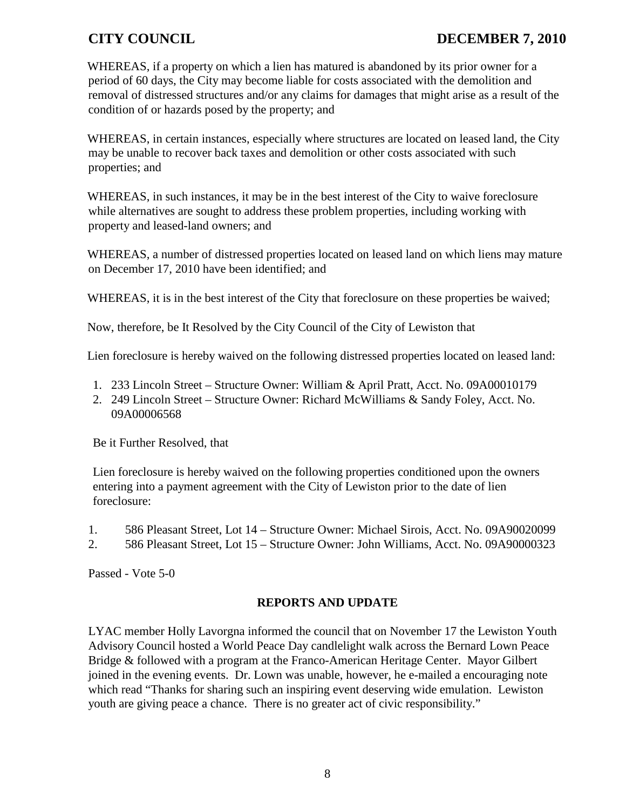WHEREAS, if a property on which a lien has matured is abandoned by its prior owner for a period of 60 days, the City may become liable for costs associated with the demolition and removal of distressed structures and/or any claims for damages that might arise as a result of the condition of or hazards posed by the property; and

WHEREAS, in certain instances, especially where structures are located on leased land, the City may be unable to recover back taxes and demolition or other costs associated with such properties; and

WHEREAS, in such instances, it may be in the best interest of the City to waive foreclosure while alternatives are sought to address these problem properties, including working with property and leased-land owners; and

WHEREAS, a number of distressed properties located on leased land on which liens may mature on December 17, 2010 have been identified; and

WHEREAS, it is in the best interest of the City that foreclosure on these properties be waived;

Now, therefore, be It Resolved by the City Council of the City of Lewiston that

Lien foreclosure is hereby waived on the following distressed properties located on leased land:

- 1. 233 Lincoln Street Structure Owner: William & April Pratt, Acct. No. 09A00010179
- 2. 249 Lincoln Street Structure Owner: Richard McWilliams & Sandy Foley, Acct. No. 09A00006568

Be it Further Resolved, that

Lien foreclosure is hereby waived on the following properties conditioned upon the owners entering into a payment agreement with the City of Lewiston prior to the date of lien foreclosure:

1. 586 Pleasant Street, Lot 14 – Structure Owner: Michael Sirois, Acct. No. 09A90020099

2. 586 Pleasant Street, Lot 15 – Structure Owner: John Williams, Acct. No. 09A90000323

Passed - Vote 5-0

### **REPORTS AND UPDATE**

LYAC member Holly Lavorgna informed the council that on November 17 the Lewiston Youth Advisory Council hosted a World Peace Day candlelight walk across the Bernard Lown Peace Bridge & followed with a program at the Franco-American Heritage Center. Mayor Gilbert joined in the evening events. Dr. Lown was unable, however, he e-mailed a encouraging note which read "Thanks for sharing such an inspiring event deserving wide emulation. Lewiston youth are giving peace a chance. There is no greater act of civic responsibility."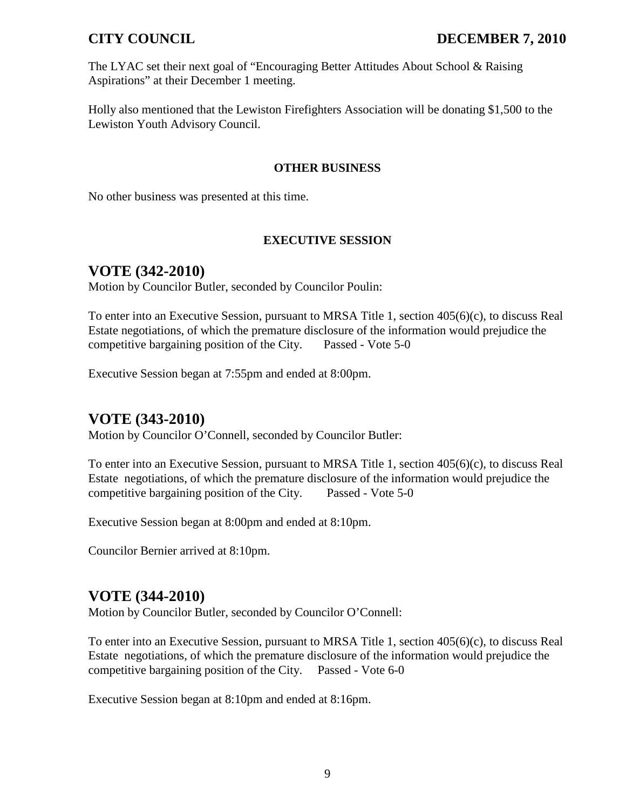The LYAC set their next goal of "Encouraging Better Attitudes About School & Raising Aspirations" at their December 1 meeting.

Holly also mentioned that the Lewiston Firefighters Association will be donating \$1,500 to the Lewiston Youth Advisory Council.

### **OTHER BUSINESS**

No other business was presented at this time.

### **EXECUTIVE SESSION**

## **VOTE (342-2010)**

Motion by Councilor Butler, seconded by Councilor Poulin:

To enter into an Executive Session, pursuant to MRSA Title 1, section 405(6)(c), to discuss Real Estate negotiations, of which the premature disclosure of the information would prejudice the competitive bargaining position of the City. Passed - Vote 5-0

Executive Session began at 7:55pm and ended at 8:00pm.

# **VOTE (343-2010)**

Motion by Councilor O'Connell, seconded by Councilor Butler:

To enter into an Executive Session, pursuant to MRSA Title 1, section 405(6)(c), to discuss Real Estate negotiations, of which the premature disclosure of the information would prejudice the competitive bargaining position of the City. Passed - Vote 5-0

Executive Session began at 8:00pm and ended at 8:10pm.

Councilor Bernier arrived at 8:10pm.

# **VOTE (344-2010)**

Motion by Councilor Butler, seconded by Councilor O'Connell:

To enter into an Executive Session, pursuant to MRSA Title 1, section 405(6)(c), to discuss Real Estate negotiations, of which the premature disclosure of the information would prejudice the competitive bargaining position of the City. Passed - Vote 6-0

Executive Session began at 8:10pm and ended at 8:16pm.